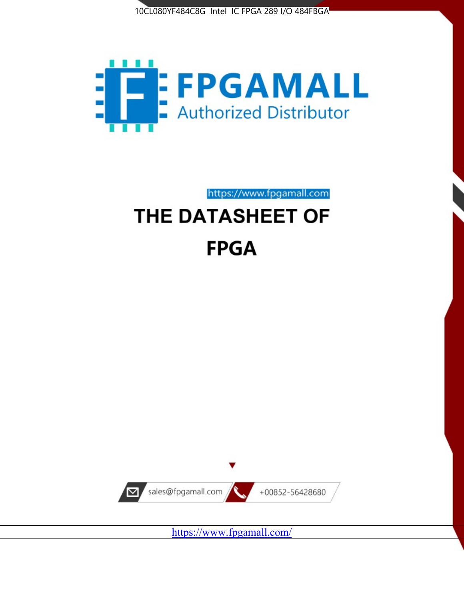



https://www.fpgamall.com

# THE DATASHEET OF **FPGA**



https://www.fpgamall.com/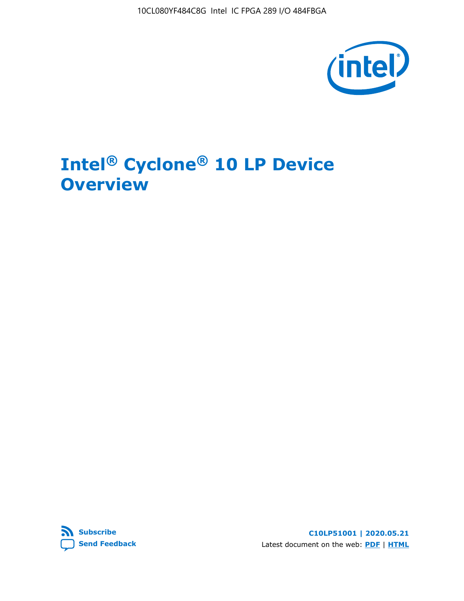10CL080YF484C8G Intel IC FPGA 289 I/O 484FBGA



# **Intel® Cyclone® 10 LP Device Overview**



**C10LP51001 | 2020.05.21** Latest document on the web: **[PDF](https://www.intel.com/content/dam/www/programmable/us/en/pdfs/literature/hb/cyclone-10/c10lp-51001.pdf)** | **[HTML](https://www.intel.com/content/www/us/en/programmable/documentation/hci1490246873896.html)**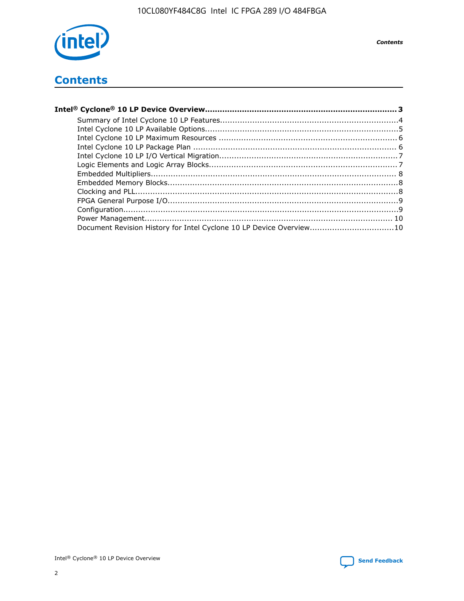

**Contents** 

## **Contents**

| Document Revision History for Intel Cyclone 10 LP Device Overview10 |  |
|---------------------------------------------------------------------|--|
|                                                                     |  |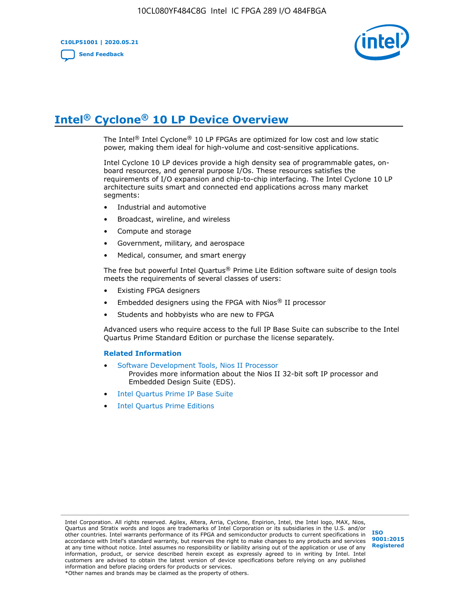**C10LP51001 | 2020.05.21 [Send Feedback](mailto:FPGAtechdocfeedback@intel.com?subject=Feedback%20on%20Intel%20Cyclone%2010%20LP%20Device%20Overview%20(C10LP51001%202020.05.21)&body=We%20appreciate%20your%20feedback.%20In%20your%20comments,%20also%20specify%20the%20page%20number%20or%20paragraph.%20Thank%20you.)**



# **Intel® Cyclone® 10 LP Device Overview**

The Intel® Intel Cyclone® 10 LP FPGAs are optimized for low cost and low static power, making them ideal for high-volume and cost-sensitive applications.

Intel Cyclone 10 LP devices provide a high density sea of programmable gates, onboard resources, and general purpose I/Os. These resources satisfies the requirements of I/O expansion and chip-to-chip interfacing. The Intel Cyclone 10 LP architecture suits smart and connected end applications across many market segments:

- Industrial and automotive
- Broadcast, wireline, and wireless
- Compute and storage
- Government, military, and aerospace
- Medical, consumer, and smart energy

The free but powerful Intel Quartus® Prime Lite Edition software suite of design tools meets the requirements of several classes of users:

- Existing FPGA designers
- Embedded designers using the FPGA with Nios® II processor
- Students and hobbyists who are new to FPGA

Advanced users who require access to the full IP Base Suite can subscribe to the Intel Quartus Prime Standard Edition or purchase the license separately.

#### **Related Information**

- [Software Development Tools, Nios II Processor](https://www.altera.com/products/processors/design-tools.html) Provides more information about the Nios II 32-bit soft IP processor and Embedded Design Suite (EDS).
- [Intel Quartus Prime IP Base Suite](https://www.altera.com/products/intellectual-property/design/ip-base-suite.html)
- **[Intel Quartus Prime Editions](https://www.altera.com/products/design-software/fpga-design/quartus-prime/download.html)**

Intel Corporation. All rights reserved. Agilex, Altera, Arria, Cyclone, Enpirion, Intel, the Intel logo, MAX, Nios, Quartus and Stratix words and logos are trademarks of Intel Corporation or its subsidiaries in the U.S. and/or other countries. Intel warrants performance of its FPGA and semiconductor products to current specifications in accordance with Intel's standard warranty, but reserves the right to make changes to any products and services at any time without notice. Intel assumes no responsibility or liability arising out of the application or use of any information, product, or service described herein except as expressly agreed to in writing by Intel. Intel customers are advised to obtain the latest version of device specifications before relying on any published information and before placing orders for products or services.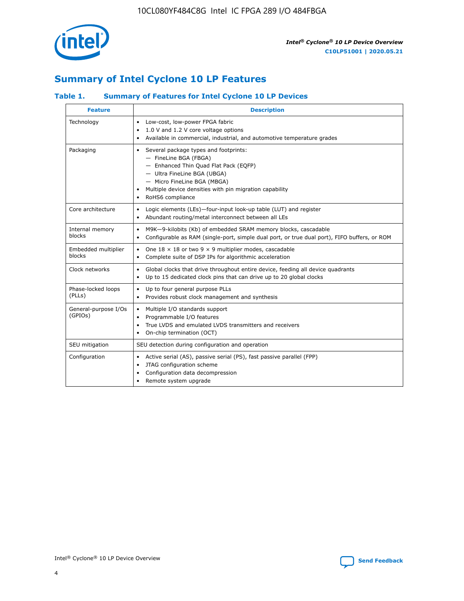

## **Summary of Intel Cyclone 10 LP Features**

### **Table 1. Summary of Features for Intel Cyclone 10 LP Devices**

| <b>Feature</b>                  | <b>Description</b>                                                                                                                                                                                                                                        |
|---------------------------------|-----------------------------------------------------------------------------------------------------------------------------------------------------------------------------------------------------------------------------------------------------------|
| Technology                      | Low-cost, low-power FPGA fabric<br>٠<br>1.0 V and 1.2 V core voltage options<br>Available in commercial, industrial, and automotive temperature grades                                                                                                    |
| Packaging                       | Several package types and footprints:<br>٠<br>- FineLine BGA (FBGA)<br>- Enhanced Thin Quad Flat Pack (EQFP)<br>- Ultra FineLine BGA (UBGA)<br>- Micro FineLine BGA (MBGA)<br>Multiple device densities with pin migration capability<br>RoHS6 compliance |
| Core architecture               | Logic elements (LEs)-four-input look-up table (LUT) and register<br>٠<br>Abundant routing/metal interconnect between all LEs<br>٠                                                                                                                         |
| Internal memory<br>blocks       | M9K-9-kilobits (Kb) of embedded SRAM memory blocks, cascadable<br>$\bullet$<br>Configurable as RAM (single-port, simple dual port, or true dual port), FIFO buffers, or ROM<br>$\bullet$                                                                  |
| Embedded multiplier<br>blocks   | One $18 \times 18$ or two 9 $\times$ 9 multiplier modes, cascadable<br>٠<br>Complete suite of DSP IPs for algorithmic acceleration<br>$\bullet$                                                                                                           |
| Clock networks                  | Global clocks that drive throughout entire device, feeding all device quadrants<br>٠<br>Up to 15 dedicated clock pins that can drive up to 20 global clocks<br>$\bullet$                                                                                  |
| Phase-locked loops<br>(PLLs)    | Up to four general purpose PLLs<br>٠<br>Provides robust clock management and synthesis<br>$\bullet$                                                                                                                                                       |
| General-purpose I/Os<br>(GPIOs) | Multiple I/O standards support<br>$\bullet$<br>Programmable I/O features<br>$\bullet$<br>True LVDS and emulated LVDS transmitters and receivers<br>$\bullet$<br>On-chip termination (OCT)<br>٠                                                            |
| SEU mitigation                  | SEU detection during configuration and operation                                                                                                                                                                                                          |
| Configuration                   | Active serial (AS), passive serial (PS), fast passive parallel (FPP)<br>٠<br>JTAG configuration scheme<br>$\bullet$<br>Configuration data decompression<br>Remote system upgrade<br>٠                                                                     |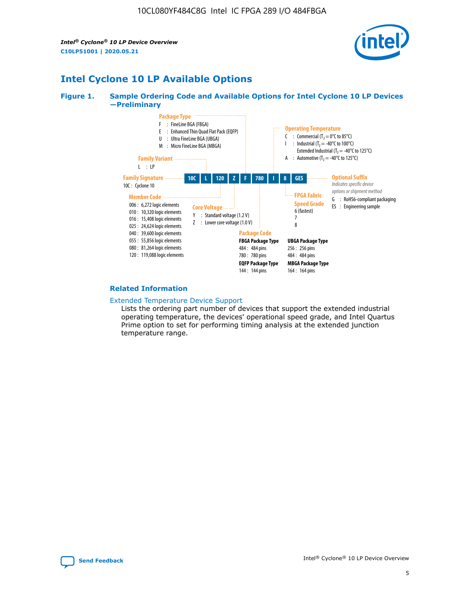*Intel® Cyclone® 10 LP Device Overview* **C10LP51001 | 2020.05.21**



## **Intel Cyclone 10 LP Available Options**

#### **Figure 1. Sample Ordering Code and Available Options for Intel Cyclone 10 LP Devices —Preliminary**



#### **Related Information**

#### [Extended Temperature Device Support](https://www.intel.com/content/www/us/en/products/programmable/temperature.html)

Lists the ordering part number of devices that support the extended industrial operating temperature, the devices' operational speed grade, and Intel Quartus Prime option to set for performing timing analysis at the extended junction temperature range.

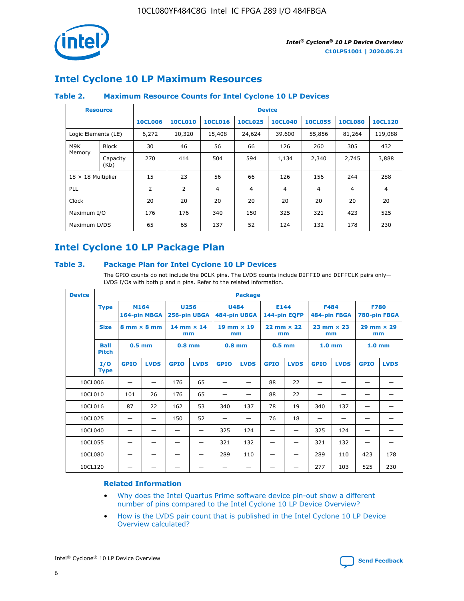

## **Intel Cyclone 10 LP Maximum Resources**

### **Table 2. Maximum Resource Counts for Intel Cyclone 10 LP Devices**

|                     | <b>Resource</b>           | <b>Device</b>  |                |                |                |                |                |                |                |
|---------------------|---------------------------|----------------|----------------|----------------|----------------|----------------|----------------|----------------|----------------|
|                     |                           | <b>10CL006</b> | <b>10CL010</b> | <b>10CL016</b> | <b>10CL025</b> | <b>10CL040</b> | <b>10CL055</b> | <b>10CL080</b> | <b>10CL120</b> |
| Logic Elements (LE) |                           | 6,272          | 10,320         | 15,408         | 24,624         | 39,600         | 55,856         | 81,264         | 119,088        |
| M9K                 | <b>Block</b>              | 30             | 46             | 56             | 66             | 126            | 260            | 305            | 432            |
| Memory              | Capacity<br>(Kb)          | 270            | 414            | 504            | 594            | 1,134          | 2,340          | 2,745          | 3,888          |
|                     | $18 \times 18$ Multiplier |                | 23             | 56             | 66             | 126            | 156            | 244            | 288            |
| <b>PLL</b>          |                           | 2              | 2              | 4              | 4              | $\overline{4}$ | 4              | $\overline{4}$ | 4              |
| Clock               |                           | 20             | 20             | 20             | 20             | 20             | 20             | 20             | 20             |
| Maximum I/O         |                           | 176            | 176            | 340            | 150            | 325            | 321            | 423            | 525            |
| Maximum LVDS        |                           | 65             | 65             | 137            | 52             | 124            | 132            | 178            | 230            |

## **Intel Cyclone 10 LP Package Plan**

#### **Table 3. Package Plan for Intel Cyclone 10 LP Devices**

The GPIO counts do not include the DCLK pins. The LVDS counts include DIFFIO and DIFFCLK pairs only-LVDS I/Os with both p and n pins. Refer to the related information.

| <b>Device</b> |                             | <b>Package</b>                     |              |             |                     |                             |             |                   |                     |                           |              |                             |             |
|---------------|-----------------------------|------------------------------------|--------------|-------------|---------------------|-----------------------------|-------------|-------------------|---------------------|---------------------------|--------------|-----------------------------|-------------|
|               | <b>Type</b>                 | M164                               | 164-pin MBGA | <b>U256</b> | 256-pin UBGA        | <b>U484</b><br>484-pin UBGA |             | E144              | 144-pin EQFP        | <b>F484</b>               | 484-pin FBGA | <b>F780</b><br>780-pin FBGA |             |
|               | <b>Size</b>                 | $8 \text{ mm} \times 8 \text{ mm}$ |              | mm          | $14$ mm $\times$ 14 | $19$ mm $\times$ 19<br>mm   |             | mm                | $22$ mm $\times$ 22 | $23$ mm $\times$ 23<br>mm |              | $29$ mm $\times$ 29<br>mm   |             |
|               | <b>Ball</b><br><b>Pitch</b> | $0.5$ mm                           |              | $0.8$ mm    |                     | $0.8$ mm                    |             | 0.5 <sub>mm</sub> |                     | 1.0 <sub>mm</sub>         |              | 1.0 <sub>mm</sub>           |             |
|               | I/O<br><b>Type</b>          | <b>GPIO</b>                        | <b>LVDS</b>  | <b>GPIO</b> | <b>LVDS</b>         | <b>GPIO</b>                 | <b>LVDS</b> | <b>GPIO</b>       | <b>LVDS</b>         | <b>GPIO</b>               | <b>LVDS</b>  | <b>GPIO</b>                 | <b>LVDS</b> |
| 10CL006       |                             |                                    |              | 176         | 65                  |                             |             | 88                | 22                  |                           |              |                             |             |
| 10CL010       |                             | 101                                | 26           | 176         | 65                  |                             |             | 88                | 22                  |                           |              |                             |             |
| 10CL016       |                             | 87                                 | 22           | 162         | 53                  | 340                         | 137         | 78                | 19                  | 340                       | 137          |                             |             |
| 10CL025       |                             | —                                  | —            | 150         | 52                  | —                           |             | 76                | 18                  | -                         | —            | -                           |             |
| 10CL040       |                             |                                    |              |             |                     | 325                         | 124         |                   |                     | 325                       | 124          |                             |             |
| 10CL055       |                             |                                    |              |             |                     | 321                         | 132         |                   |                     | 321                       | 132          |                             |             |
| 10CL080       |                             |                                    |              |             |                     | 289                         | 110         |                   |                     | 289                       | 110          | 423                         | 178         |
| 10CL120       |                             |                                    |              |             |                     |                             |             |                   |                     | 277                       | 103          | 525                         | 230         |

### **Related Information**

- [Why does the Intel Quartus Prime software device pin-out show a different](https://www.intel.com/content/altera-www/global/en_us/index/support/support-resources/knowledge-base/component/2020/why-does-intel--quartus--device-pinout-pin-count-shows-a-differe0.html) [number of pins compared to the Intel Cyclone 10 LP Device Overview?](https://www.intel.com/content/altera-www/global/en_us/index/support/support-resources/knowledge-base/component/2020/why-does-intel--quartus--device-pinout-pin-count-shows-a-differe0.html)
- [How is the LVDS pair count that is published in the Intel Cyclone 10 LP Device](https://www.intel.com/content/altera-www/global/en_us/index/support/support-resources/knowledge-base/component/2020/how-is-the-lvds-pair-count-in-intel--cyclone--10-device-overview.html) [Overview calculated?](https://www.intel.com/content/altera-www/global/en_us/index/support/support-resources/knowledge-base/component/2020/how-is-the-lvds-pair-count-in-intel--cyclone--10-device-overview.html)



Intel<sup>®</sup> Cyclone<sup>®</sup> 10 LP Device Overview **[Send Feedback](mailto:FPGAtechdocfeedback@intel.com?subject=Feedback%20on%20Intel%20Cyclone%2010%20LP%20Device%20Overview%20(C10LP51001%202020.05.21)&body=We%20appreciate%20your%20feedback.%20In%20your%20comments,%20also%20specify%20the%20page%20number%20or%20paragraph.%20Thank%20you.)** Send Feedback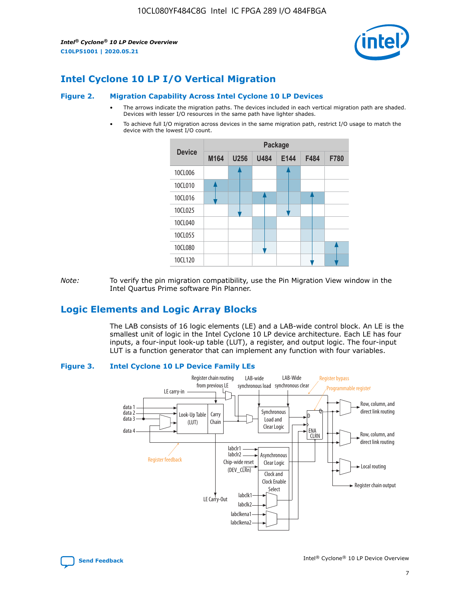*Intel® Cyclone® 10 LP Device Overview* **C10LP51001 | 2020.05.21**



## **Intel Cyclone 10 LP I/O Vertical Migration**

#### **Figure 2. Migration Capability Across Intel Cyclone 10 LP Devices**

- The arrows indicate the migration paths. The devices included in each vertical migration path are shaded. Devices with lesser I/O resources in the same path have lighter shades.
- To achieve full I/O migration across devices in the same migration path, restrict I/O usage to match the device with the lowest I/O count.



*Note:* To verify the pin migration compatibility, use the Pin Migration View window in the Intel Quartus Prime software Pin Planner.

## **Logic Elements and Logic Array Blocks**

The LAB consists of 16 logic elements (LE) and a LAB-wide control block. An LE is the smallest unit of logic in the Intel Cyclone 10 LP device architecture. Each LE has four inputs, a four-input look-up table (LUT), a register, and output logic. The four-input LUT is a function generator that can implement any function with four variables.

#### **Figure 3. Intel Cyclone 10 LP Device Family LEs**



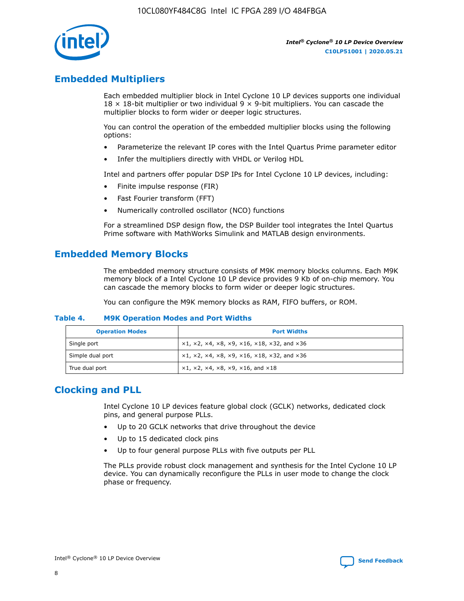

## **Embedded Multipliers**

Each embedded multiplier block in Intel Cyclone 10 LP devices supports one individual  $18 \times 18$ -bit multiplier or two individual 9  $\times$  9-bit multipliers. You can cascade the multiplier blocks to form wider or deeper logic structures.

You can control the operation of the embedded multiplier blocks using the following options:

- Parameterize the relevant IP cores with the Intel Quartus Prime parameter editor
- Infer the multipliers directly with VHDL or Verilog HDL

Intel and partners offer popular DSP IPs for Intel Cyclone 10 LP devices, including:

- Finite impulse response (FIR)
- Fast Fourier transform (FFT)
- Numerically controlled oscillator (NCO) functions

For a streamlined DSP design flow, the DSP Builder tool integrates the Intel Quartus Prime software with MathWorks Simulink and MATLAB design environments.

## **Embedded Memory Blocks**

The embedded memory structure consists of M9K memory blocks columns. Each M9K memory block of a Intel Cyclone 10 LP device provides 9 Kb of on-chip memory. You can cascade the memory blocks to form wider or deeper logic structures.

You can configure the M9K memory blocks as RAM, FIFO buffers, or ROM.

#### **Table 4. M9K Operation Modes and Port Widths**

| <b>Operation Modes</b> | <b>Port Widths</b>                           |
|------------------------|----------------------------------------------|
| Single port            | $x1, x2, x4, x8, x9, x16, x18, x32, and x36$ |
| Simple dual port       | $x1, x2, x4, x8, x9, x16, x18, x32, and x36$ |
| True dual port         | x1, x2, x4, x8, x9, x16, and x18             |

## **Clocking and PLL**

Intel Cyclone 10 LP devices feature global clock (GCLK) networks, dedicated clock pins, and general purpose PLLs.

- Up to 20 GCLK networks that drive throughout the device
- Up to 15 dedicated clock pins
- Up to four general purpose PLLs with five outputs per PLL

The PLLs provide robust clock management and synthesis for the Intel Cyclone 10 LP device. You can dynamically reconfigure the PLLs in user mode to change the clock phase or frequency.

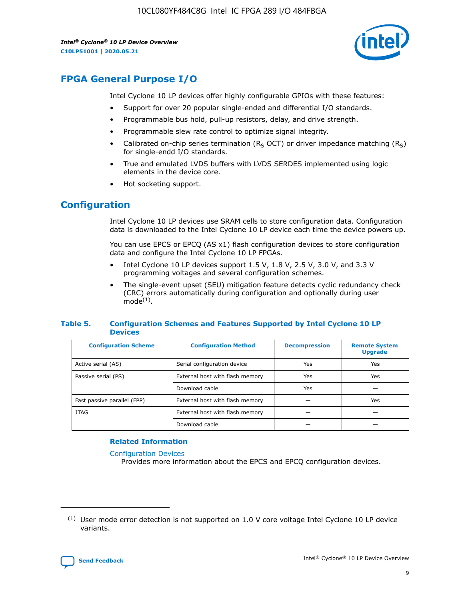10CL080YF484C8G Intel IC FPGA 289 I/O 484FBGA

*Intel® Cyclone® 10 LP Device Overview* **C10LP51001 | 2020.05.21**



## **FPGA General Purpose I/O**

Intel Cyclone 10 LP devices offer highly configurable GPIOs with these features:

- Support for over 20 popular single-ended and differential I/O standards.
- Programmable bus hold, pull-up resistors, delay, and drive strength.
- Programmable slew rate control to optimize signal integrity.
- Calibrated on-chip series termination ( $R<sub>S</sub>$  OCT) or driver impedance matching ( $R<sub>S</sub>$ ) for single-endd I/O standards.
- True and emulated LVDS buffers with LVDS SERDES implemented using logic elements in the device core.
- Hot socketing support.

## **Configuration**

Intel Cyclone 10 LP devices use SRAM cells to store configuration data. Configuration data is downloaded to the Intel Cyclone 10 LP device each time the device powers up.

You can use EPCS or EPCQ (AS x1) flash configuration devices to store configuration data and configure the Intel Cyclone 10 LP FPGAs.

- Intel Cyclone 10 LP devices support 1.5 V, 1.8 V, 2.5 V, 3.0 V, and 3.3 V programming voltages and several configuration schemes.
- The single-event upset (SEU) mitigation feature detects cyclic redundancy check (CRC) errors automatically during configuration and optionally during user  $mode<sup>(1)</sup>$ .

#### **Table 5. Configuration Schemes and Features Supported by Intel Cyclone 10 LP Devices**

| <b>Configuration Scheme</b> | <b>Configuration Method</b>     | <b>Decompression</b> | <b>Remote System</b><br><b>Upgrade</b> |  |
|-----------------------------|---------------------------------|----------------------|----------------------------------------|--|
| Active serial (AS)          | Serial configuration device     | Yes                  | Yes                                    |  |
| Passive serial (PS)         | External host with flash memory | Yes                  | Yes                                    |  |
|                             | Download cable                  | Yes                  |                                        |  |
| Fast passive parallel (FPP) | External host with flash memory |                      | Yes                                    |  |
| JTAG                        | External host with flash memory |                      |                                        |  |
|                             | Download cable                  |                      |                                        |  |

#### **Related Information**

[Configuration Devices](https://www.altera.com/products/configuration-devices/overview.html)

Provides more information about the EPCS and EPCQ configuration devices.

 $(1)$  User mode error detection is not supported on 1.0 V core voltage Intel Cyclone 10 LP device variants.

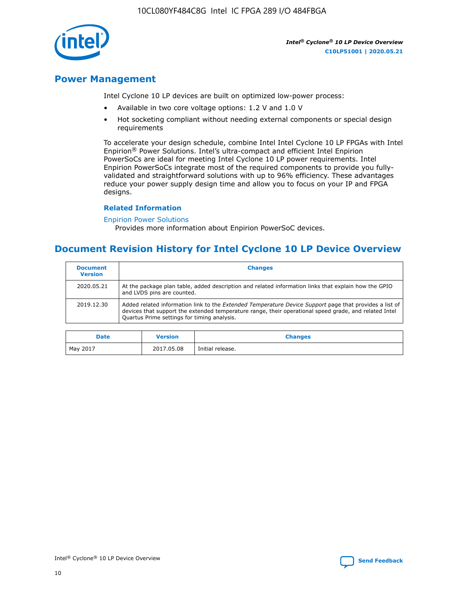10CL080YF484C8G Intel IC FPGA 289 I/O 484FBGA



*Intel® Cyclone® 10 LP Device Overview* **C10LP51001 | 2020.05.21**

## **Power Management**

Intel Cyclone 10 LP devices are built on optimized low-power process:

- Available in two core voltage options: 1.2 V and 1.0 V
- Hot socketing compliant without needing external components or special design requirements

To accelerate your design schedule, combine Intel Intel Cyclone 10 LP FPGAs with Intel Enpirion® Power Solutions. Intel's ultra-compact and efficient Intel Enpirion PowerSoCs are ideal for meeting Intel Cyclone 10 LP power requirements. Intel Enpirion PowerSoCs integrate most of the required components to provide you fullyvalidated and straightforward solutions with up to 96% efficiency. These advantages reduce your power supply design time and allow you to focus on your IP and FPGA designs.

#### **Related Information**

#### [Enpirion Power Solutions](https://www.altera.com/products/power/devices.html)

Provides more information about Enpirion PowerSoC devices.

## **Document Revision History for Intel Cyclone 10 LP Device Overview**

| <b>Document</b><br><b>Version</b> | <b>Changes</b>                                                                                                                                                                                                                                                        |
|-----------------------------------|-----------------------------------------------------------------------------------------------------------------------------------------------------------------------------------------------------------------------------------------------------------------------|
| 2020.05.21                        | At the package plan table, added description and related information links that explain how the GPIO<br>and LVDS pins are counted.                                                                                                                                    |
| 2019.12.30                        | Added related information link to the <i>Extended Temperature Device Support</i> page that provides a list of<br>devices that support the extended temperature range, their operational speed grade, and related Intel<br>Quartus Prime settings for timing analysis. |

| <b>Date</b> | <b>Version</b> | <b>Changes</b>   |
|-------------|----------------|------------------|
| May 2017    | 2017.05.08     | Initial release. |